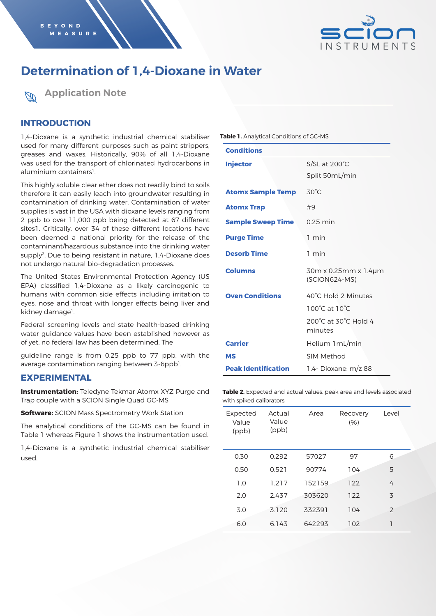

# **Determination of 1,4-Dioxane in Water**



## **INTRODUCTION**

1,4-Dioxane is a synthetic industrial chemical stabiliser used for many different purposes such as paint strippers, greases and waxes. Historically, 90% of all 1,4-Dioxane was used for the transport of chlorinated hydrocarbons in aluminium containers<sup>1</sup>.

This highly soluble clear ether does not readily bind to soils therefore it can easily leach into groundwater resulting in contamination of drinking water. Contamination of water supplies is vast in the USA with dioxane levels ranging from 2 ppb to over 11,000 ppb being detected at 67 different sites1. Critically, over 34 of these different locations have been deemed a national priority for the release of the contaminant/hazardous substance into the drinking water supply2. Due to being resistant in nature, 1,4-Dioxane does not undergo natural bio-degradation processes.

The United States Environmental Protection Agency (US EPA) classified 1,4-Dioxane as a likely carcinogenic to humans with common side effects including irritation to eyes, nose and throat with longer effects being liver and kidney damage<sup>1</sup>.

Federal screening levels and state health-based drinking water guidance values have been established however as of yet, no federal law has been determined. The

guideline range is from 0.25 ppb to 77 ppb, with the average contamination ranging between 3-6ppb<sup>1</sup>.

### **EXPERIMENTAL**

**Instrumentation:** Teledyne Tekmar Atomx XYZ Purge and Trap couple with a SCION Single Quad GC-MS

**Software:** SCION Mass Spectrometry Work Station

The analytical conditions of the GC-MS can be found in Table 1 whereas Figure 1 shows the instrumentation used.

1,4-Dioxane is a synthetic industrial chemical stabiliser used.

**Table 1.** Analytical Conditions of GC-MS

| <b>Conditions</b>          |                                       |  |  |
|----------------------------|---------------------------------------|--|--|
| <b>Injector</b>            | $S/SL$ at 200 $^{\circ}$ C            |  |  |
|                            | Split 50mL/min                        |  |  |
| <b>Atomx Sample Temp</b>   | $30^{\circ}$ C                        |  |  |
| <b>Atomx Trap</b>          | #9                                    |  |  |
| <b>Sample Sweep Time</b>   | $0.25$ min                            |  |  |
| <b>Purge Time</b>          | 1 min                                 |  |  |
| <b>Desorb Time</b>         | 1 min                                 |  |  |
| <b>Columns</b>             | 30m x 0.25mm x 1.4µm<br>(SCION624-MS) |  |  |
| <b>Oven Conditions</b>     | 40°C Hold 2 Minutes                   |  |  |
|                            | $100^{\circ}$ C at $10^{\circ}$ C     |  |  |
|                            | 200°C at 30°C Hold 4<br>minutes       |  |  |
| <b>Carrier</b>             | Helium 1 mL/min                       |  |  |
| MS                         | SIM Method                            |  |  |
| <b>Peak Identification</b> | 1.4- Dioxane: m/z 88                  |  |  |

**Table 2.** Expected and actual values, peak area and levels associated with spiked calibrators.

| Expected<br>Value<br>(ppb) | Actual<br>Value<br>(ppb) | Area   | Recovery<br>(% ) | Level          |
|----------------------------|--------------------------|--------|------------------|----------------|
| 0.30                       | 0.292                    | 57027  | 97               | 6              |
| 0.50                       | 0.521                    | 90774  | 104              | 5              |
| 1.0                        | 1.217                    | 152159 | 122              | 4              |
| 2.0                        | 2.437                    | 303620 | 122              | 3              |
| 3.0                        | 3.120                    | 332391 | 104              | $\overline{2}$ |
| 6.0                        | 6.143                    | 642293 | 102              | ٦              |